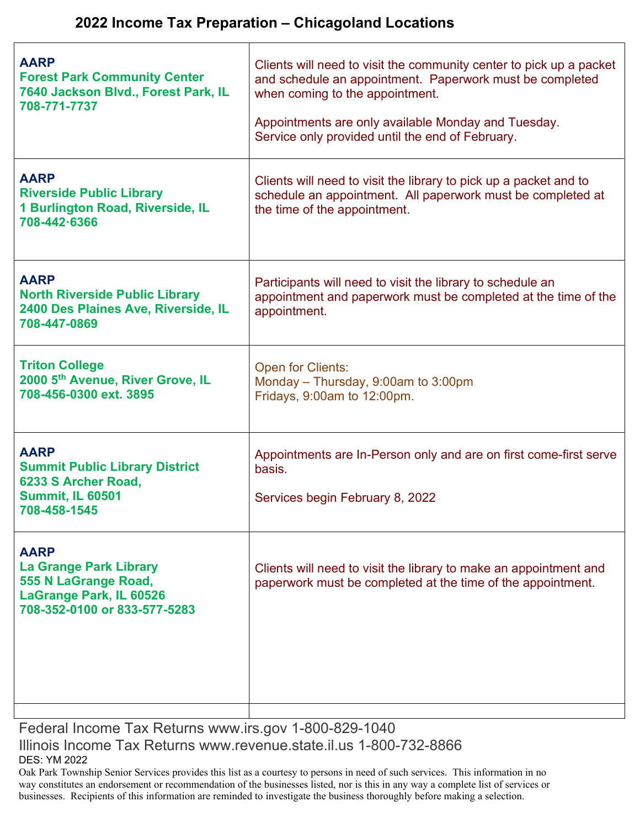| <b>AARP</b><br><b>Forest Park Community Center</b><br>7640 Jackson Blvd., Forest Park, IL<br>708-771-7737                       | Clients will need to visit the community center to pick up a packet<br>and schedule an appointment. Paperwork must be completed<br>when coming to the appointment.<br>Appointments are only available Monday and Tuesday.<br>Service only provided until the end of February. |
|---------------------------------------------------------------------------------------------------------------------------------|-------------------------------------------------------------------------------------------------------------------------------------------------------------------------------------------------------------------------------------------------------------------------------|
| <b>AARP</b><br><b>Riverside Public Library</b><br>1 Burlington Road, Riverside, IL<br>708-442-6366                              | Clients will need to visit the library to pick up a packet and to<br>schedule an appointment. All paperwork must be completed at<br>the time of the appointment.                                                                                                              |
| <b>AARP</b><br><b>North Riverside Public Library</b><br>2400 Des Plaines Ave, Riverside, IL<br>708-447-0869                     | Participants will need to visit the library to schedule an<br>appointment and paperwork must be completed at the time of the<br>appointment.                                                                                                                                  |
| <b>Triton College</b><br>2000 5th Avenue, River Grove, IL<br>708-456-0300 ext. 3895                                             | <b>Open for Clients:</b><br>Monday - Thursday, 9:00am to 3:00pm<br>Fridays, 9:00am to 12:00pm.                                                                                                                                                                                |
| <b>AARP</b><br><b>Summit Public Library District</b><br>6233 S Archer Road,<br><b>Summit, IL 60501</b><br>708-458-1545          | Appointments are In-Person only and are on first come-first serve<br>basis.<br>Services begin February 8, 2022                                                                                                                                                                |
| <b>AARP</b><br><b>La Grange Park Library</b><br>555 N LaGrange Road,<br>LaGrange Park, IL 60526<br>708-352-0100 or 833-577-5283 | Clients will need to visit the library to make an appointment and<br>paperwork must be completed at the time of the appointment.                                                                                                                                              |

Federal Income Tax Returns www.irs.gov 1-800-829-1040 Illinois Income Tax Returns www.revenue.state.il.us 1-800-732-8866 DES: YM 2022

Oak Park Township Senior Services provides this list as a courtesy to persons in need of such services. This information in no way constitutes an endorsement or recommendation of the businesses listed, nor is this in any way a complete list of services or businesses. Recipients of this information are reminded to investigate the business thoroughly before making a selection.